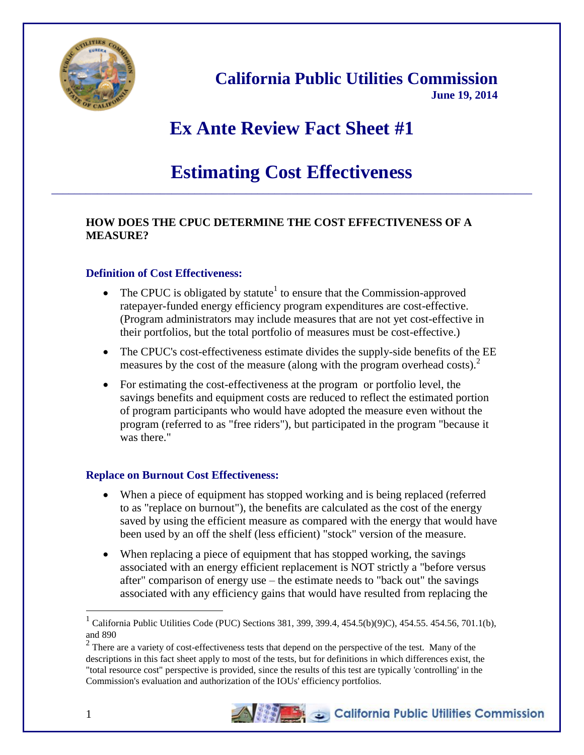

**California Public Utilities Commission June 19, 2014**

# **Ex Ante Review Fact Sheet #1**

# **Estimating Cost Effectiveness** \_\_\_\_\_\_\_\_\_\_\_\_\_\_\_\_\_\_\_\_\_\_\_\_\_\_\_\_\_\_\_\_\_\_\_\_\_\_\_\_\_\_\_\_\_\_\_\_\_\_\_\_\_\_\_\_\_\_\_\_\_\_\_\_\_\_\_\_\_\_\_\_\_\_\_\_\_\_\_\_\_\_\_\_

## **HOW DOES THE CPUC DETERMINE THE COST EFFECTIVENESS OF A MEASURE?**

#### **Definition of Cost Effectiveness:**

- The CPUC is obligated by statute<sup>1</sup> to ensure that the Commission-approved ratepayer-funded energy efficiency program expenditures are cost-effective. (Program administrators may include measures that are not yet cost-effective in their portfolios, but the total portfolio of measures must be cost-effective.)
- The CPUC's cost-effectiveness estimate divides the supply-side benefits of the EE measures by the cost of the measure (along with the program overhead costs).<sup>2</sup>
- For estimating the cost-effectiveness at the program or portfolio level, the savings benefits and equipment costs are reduced to reflect the estimated portion of program participants who would have adopted the measure even without the program (referred to as "free riders"), but participated in the program "because it was there."

#### **Replace on Burnout Cost Effectiveness:**

- When a piece of equipment has stopped working and is being replaced (referred to as "replace on burnout"), the benefits are calculated as the cost of the energy saved by using the efficient measure as compared with the energy that would have been used by an off the shelf (less efficient) "stock" version of the measure.
- When replacing a piece of equipment that has stopped working, the savings associated with an energy efficient replacement is NOT strictly a "before versus after" comparison of energy use – the estimate needs to "back out" the savings associated with any efficiency gains that would have resulted from replacing the

 $2$  There are a variety of cost-effectiveness tests that depend on the perspective of the test. Many of the descriptions in this fact sheet apply to most of the tests, but for definitions in which differences exist, the "total resource cost" perspective is provided, since the results of this test are typically 'controlling' in the Commission's evaluation and authorization of the IOUs' efficiency portfolios.



 $\overline{a}$ 

<sup>1</sup> California Public Utilities Code (PUC) Sections 381, 399, 399.4, 454.5(b)(9)C), 454.55. 454.56, 701.1(b), and 890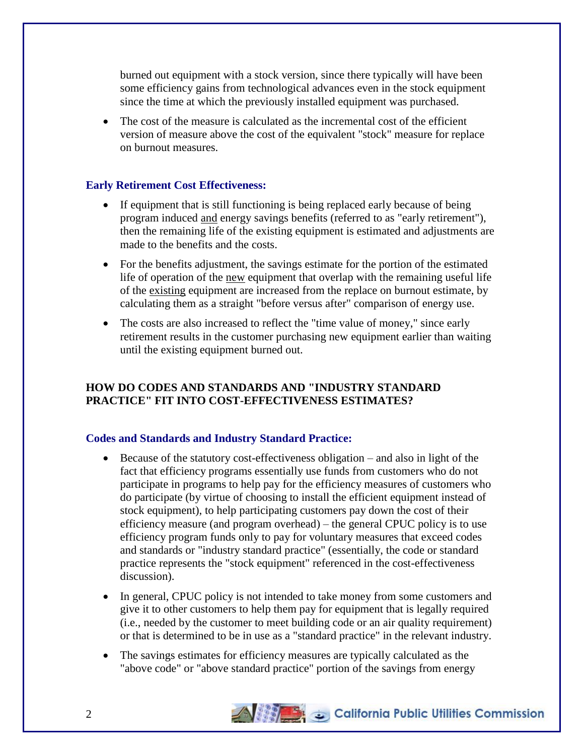burned out equipment with a stock version, since there typically will have been some efficiency gains from technological advances even in the stock equipment since the time at which the previously installed equipment was purchased.

 The cost of the measure is calculated as the incremental cost of the efficient version of measure above the cost of the equivalent "stock" measure for replace on burnout measures.

#### **Early Retirement Cost Effectiveness:**

- If equipment that is still functioning is being replaced early because of being program induced and energy savings benefits (referred to as "early retirement"), then the remaining life of the existing equipment is estimated and adjustments are made to the benefits and the costs.
- For the benefits adjustment, the savings estimate for the portion of the estimated life of operation of the new equipment that overlap with the remaining useful life of the existing equipment are increased from the replace on burnout estimate, by calculating them as a straight "before versus after" comparison of energy use.
- The costs are also increased to reflect the "time value of money," since early retirement results in the customer purchasing new equipment earlier than waiting until the existing equipment burned out.

# **HOW DO CODES AND STANDARDS AND "INDUSTRY STANDARD PRACTICE" FIT INTO COST-EFFECTIVENESS ESTIMATES?**

### **Codes and Standards and Industry Standard Practice:**

- Because of the statutory cost-effectiveness obligation and also in light of the fact that efficiency programs essentially use funds from customers who do not participate in programs to help pay for the efficiency measures of customers who do participate (by virtue of choosing to install the efficient equipment instead of stock equipment), to help participating customers pay down the cost of their efficiency measure (and program overhead) – the general CPUC policy is to use efficiency program funds only to pay for voluntary measures that exceed codes and standards or "industry standard practice" (essentially, the code or standard practice represents the "stock equipment" referenced in the cost-effectiveness discussion).
- In general, CPUC policy is not intended to take money from some customers and give it to other customers to help them pay for equipment that is legally required (i.e., needed by the customer to meet building code or an air quality requirement) or that is determined to be in use as a "standard practice" in the relevant industry.
- The savings estimates for efficiency measures are typically calculated as the "above code" or "above standard practice" portion of the savings from energy